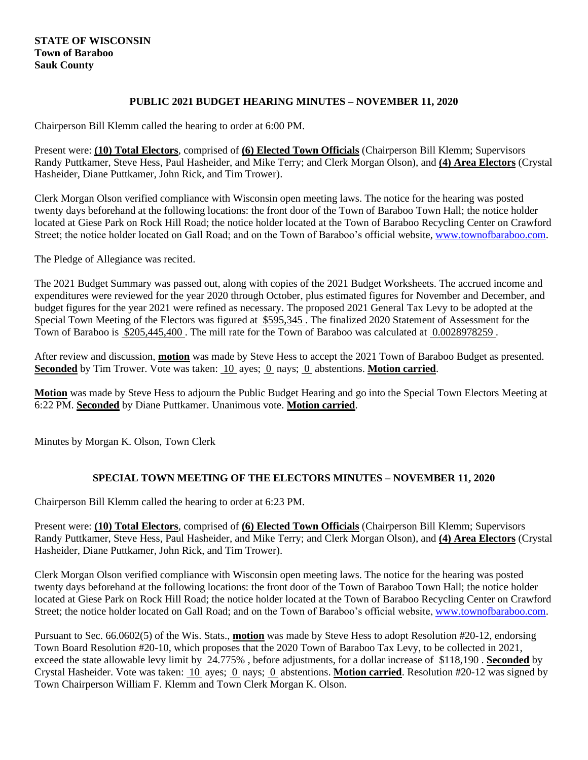## **STATE OF WISCONSIN Town of Baraboo Sauk County**

## **PUBLIC 2021 BUDGET HEARING MINUTES – NOVEMBER 11, 2020**

Chairperson Bill Klemm called the hearing to order at 6:00 PM.

Present were: **(10) Total Electors**, comprised of **(6) Elected Town Officials** (Chairperson Bill Klemm; Supervisors Randy Puttkamer, Steve Hess, Paul Hasheider, and Mike Terry; and Clerk Morgan Olson), and **(4) Area Electors** (Crystal Hasheider, Diane Puttkamer, John Rick, and Tim Trower).

Clerk Morgan Olson verified compliance with Wisconsin open meeting laws. The notice for the hearing was posted twenty days beforehand at the following locations: the front door of the Town of Baraboo Town Hall; the notice holder located at Giese Park on Rock Hill Road; the notice holder located at the Town of Baraboo Recycling Center on Crawford Street; the notice holder located on Gall Road; and on the Town of Baraboo's official website[, www.townofbaraboo.com.](www.townofbaraboo.com)

The Pledge of Allegiance was recited.

The 2021 Budget Summary was passed out, along with copies of the 2021 Budget Worksheets. The accrued income and expenditures were reviewed for the year 2020 through October, plus estimated figures for November and December, and budget figures for the year 2021 were refined as necessary. The proposed 2021 General Tax Levy to be adopted at the Special Town Meeting of the Electors was figured at \$595,345 . The finalized 2020 Statement of Assessment for the Town of Baraboo is \$205,445,400 . The mill rate for the Town of Baraboo was calculated at 0.0028978259 .

After review and discussion, **motion** was made by Steve Hess to accept the 2021 Town of Baraboo Budget as presented. **Seconded** by Tim Trower. Vote was taken: 10 ayes; 0 nays; 0 abstentions. **Motion carried**.

**Motion** was made by Steve Hess to adjourn the Public Budget Hearing and go into the Special Town Electors Meeting at 6:22 PM. **Seconded** by Diane Puttkamer. Unanimous vote. **Motion carried**.

Minutes by Morgan K. Olson, Town Clerk

## **SPECIAL TOWN MEETING OF THE ELECTORS MINUTES – NOVEMBER 11, 2020**

Chairperson Bill Klemm called the hearing to order at 6:23 PM.

Present were: **(10) Total Electors**, comprised of **(6) Elected Town Officials** (Chairperson Bill Klemm; Supervisors Randy Puttkamer, Steve Hess, Paul Hasheider, and Mike Terry; and Clerk Morgan Olson), and **(4) Area Electors** (Crystal Hasheider, Diane Puttkamer, John Rick, and Tim Trower).

Clerk Morgan Olson verified compliance with Wisconsin open meeting laws. The notice for the hearing was posted twenty days beforehand at the following locations: the front door of the Town of Baraboo Town Hall; the notice holder located at Giese Park on Rock Hill Road; the notice holder located at the Town of Baraboo Recycling Center on Crawford Street; the notice holder located on Gall Road; and on the Town of Baraboo's official website, [www.townofbaraboo.com.](www.townofbaraboo.com)

Pursuant to Sec. 66.0602(5) of the Wis. Stats., **motion** was made by Steve Hess to adopt Resolution #20-12, endorsing Town Board Resolution #20-10, which proposes that the 2020 Town of Baraboo Tax Levy, to be collected in 2021, exceed the state allowable levy limit by 24.775% , before adjustments, for a dollar increase of \$118,190 . **Seconded** by Crystal Hasheider. Vote was taken: 10 ayes; 0 nays; 0 abstentions. **Motion carried**. Resolution #20-12 was signed by Town Chairperson William F. Klemm and Town Clerk Morgan K. Olson.